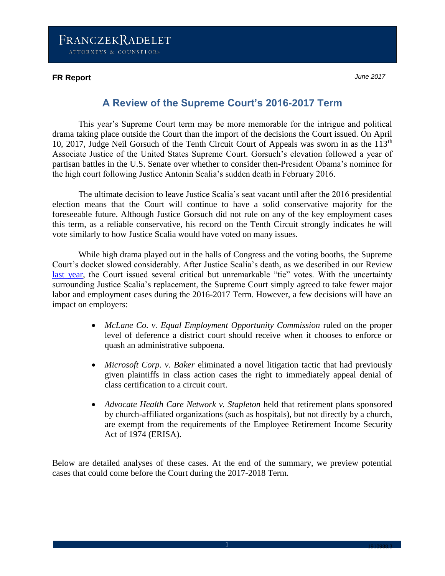### **FR Report** *June 2017*

# **A Review of the Supreme Court's 2016-2017 Term**

This year's Supreme Court term may be more memorable for the intrigue and political drama taking place outside the Court than the import of the decisions the Court issued. On April 10, 2017, Judge Neil Gorsuch of the Tenth Circuit Court of Appeals was sworn in as the 113<sup>th</sup> Associate Justice of the United States Supreme Court. Gorsuch's elevation followed a year of partisan battles in the U.S. Senate over whether to consider then-President Obama's nominee for the high court following Justice Antonin Scalia's sudden death in February 2016.

The ultimate decision to leave Justice Scalia's seat vacant until after the 2016 presidential election means that the Court will continue to have a solid conservative majority for the foreseeable future. Although Justice Gorsuch did not rule on any of the key employment cases this term, as a reliable conservative, his record on the Tenth Circuit strongly indicates he will vote similarly to how Justice Scalia would have voted on many issues.

While high drama played out in the halls of Congress and the voting booths, the Supreme Court's docket slowed considerably. After Justice Scalia's death, as we described in our Review [last year,](http://www.franczek.com/frontcenter-Supreme_Court_Review_2015-2016.html) the Court issued several critical but unremarkable "tie" votes. With the uncertainty surrounding Justice Scalia's replacement, the Supreme Court simply agreed to take fewer major labor and employment cases during the 2016-2017 Term. However, a few decisions will have an impact on employers:

- *McLane Co. v. Equal Employment Opportunity Commission* ruled on the proper level of deference a district court should receive when it chooses to enforce or quash an administrative subpoena.
- *Microsoft Corp. v. Baker* eliminated a novel litigation tactic that had previously given plaintiffs in class action cases the right to immediately appeal denial of class certification to a circuit court.
- *Advocate Health Care Network v. Stapleton* held that retirement plans sponsored by church-affiliated organizations (such as hospitals), but not directly by a church, are exempt from the requirements of the Employee Retirement Income Security Act of 1974 (ERISA).

Below are detailed analyses of these cases. At the end of the summary, we preview potential cases that could come before the Court during the 2017-2018 Term.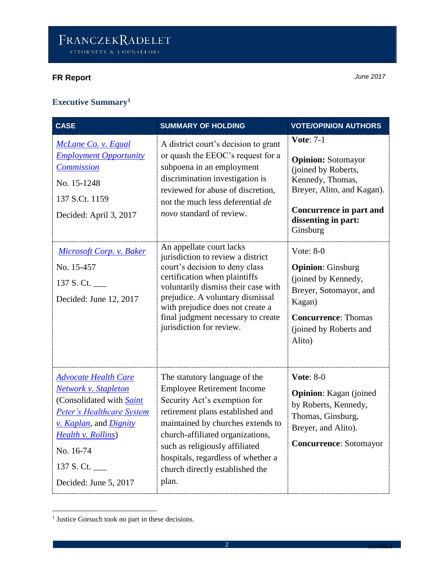# **FR Report** *June 2017*

| <b>Executive Summary<sup>1</sup></b> |  |
|--------------------------------------|--|
|--------------------------------------|--|

| <b>CASE</b>                                                                                                                                                                                                                            | <b>SUMMARY OF HOLDING</b>                                                                                                                                                                                                                                                                                                                                                                                                                                                                                                                                           | <b>VOTE/OPINION AUTHORS</b>                                                                                                                                                                                                                                                                                                                                  |
|----------------------------------------------------------------------------------------------------------------------------------------------------------------------------------------------------------------------------------------|---------------------------------------------------------------------------------------------------------------------------------------------------------------------------------------------------------------------------------------------------------------------------------------------------------------------------------------------------------------------------------------------------------------------------------------------------------------------------------------------------------------------------------------------------------------------|--------------------------------------------------------------------------------------------------------------------------------------------------------------------------------------------------------------------------------------------------------------------------------------------------------------------------------------------------------------|
| McLane Co. v. Equal<br><b>Employment Opportunity</b><br><b>Commission</b><br>No. 15-1248<br>137 S.Ct. 1159<br>Decided: April 3, 2017<br>Microsoft Corp. v. Baker<br>No. 15-457<br>137 S. Ct.<br>Decided: June 12, 2017                 | A district court's decision to grant<br>or quash the EEOC's request for a<br>subpoena in an employment<br>discrimination investigation is<br>reviewed for abuse of discretion,<br>not the much less deferential de<br>novo standard of review.<br>An appellate court lacks<br>jurisdiction to review a district<br>court's decision to deny class<br>certification when plaintiffs<br>voluntarily dismiss their case with<br>prejudice. A voluntary dismissal<br>with prejudice does not create a<br>final judgment necessary to create<br>jurisdiction for review. | <b>Vote: 7-1</b><br><b>Opinion: Sotomayor</b><br>(joined by Roberts,<br>Kennedy, Thomas,<br>Breyer, Alito, and Kagan).<br>Concurrence in part and<br>dissenting in part:<br>Ginsburg<br>Vote: $8-0$<br><b>Opinion:</b> Ginsburg<br>(joined by Kennedy,<br>Breyer, Sotomayor, and<br>Kagan)<br><b>Concurrence: Thomas</b><br>(joined by Roberts and<br>Alito) |
| <b>Advocate Health Care</b><br><b>Network v. Stapleton</b><br>(Consolidated with <b>Saint</b><br>Peter's Healthcare System<br>v. Kaplan, and Dignity<br><b>Health v. Rollins</b> )<br>No. 16-74<br>137 S. Ct.<br>Decided: June 5, 2017 | The statutory language of the<br><b>Employee Retirement Income</b><br>Security Act's exemption for<br>retirement plans established and<br>maintained by churches extends to<br>church-affiliated organizations,<br>such as religiously affiliated<br>hospitals, regardless of whether a<br>church directly established the<br>plan.                                                                                                                                                                                                                                 | <b>Vote: 8-0</b><br><b>Opinion:</b> Kagan (joined<br>by Roberts, Kennedy,<br>Thomas, Ginsburg,<br>Breyer, and Alito).<br><b>Concurrence: Sotomayor</b>                                                                                                                                                                                                       |

 1 Justice Gorsuch took no part in these decisions.

 $\overline{\phantom{a}}$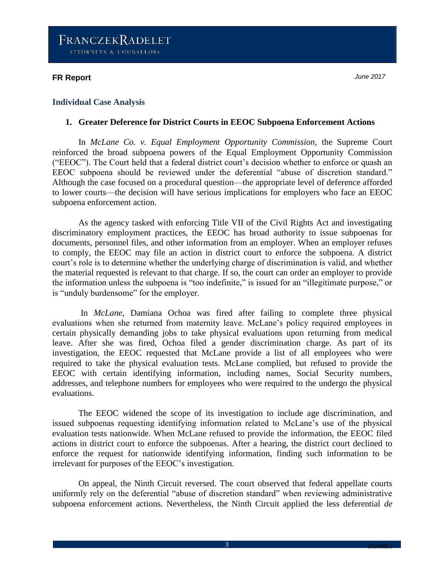### **FR Report** *June 2017*

### **Individual Case Analysis**

#### **1. Greater Deference for District Courts in EEOC Subpoena Enforcement Actions**

In *McLane Co. v. Equal Employment Opportunity Commission,* the Supreme Court reinforced the broad subpoena powers of the Equal Employment Opportunity Commission ("EEOC"). The Court held that a federal district court's decision whether to enforce or quash an EEOC subpoena should be reviewed under the deferential "abuse of discretion standard." Although the case focused on a procedural question—the appropriate level of deference afforded to lower courts—the decision will have serious implications for employers who face an EEOC subpoena enforcement action.

As the agency tasked with enforcing Title VII of the Civil Rights Act and investigating discriminatory employment practices, the EEOC has broad authority to issue subpoenas for documents, personnel files, and other information from an employer. When an employer refuses to comply, the EEOC may file an action in district court to enforce the subpoena. A district court's role is to determine whether the underlying charge of discrimination is valid, and whether the material requested is relevant to that charge. If so, the court can order an employer to provide the information unless the subpoena is "too indefinite," is issued for an "illegitimate purpose," or is "unduly burdensome" for the employer.

In *McLane*, Damiana Ochoa was fired after failing to complete three physical evaluations when she returned from maternity leave. McLane's policy required employees in certain physically demanding jobs to take physical evaluations upon returning from medical leave. After she was fired, Ochoa filed a gender discrimination charge. As part of its investigation, the EEOC requested that McLane provide a list of all employees who were required to take the physical evaluation tests. McLane complied, but refused to provide the EEOC with certain identifying information, including names, Social Security numbers, addresses, and telephone numbers for employees who were required to the undergo the physical evaluations.

The EEOC widened the scope of its investigation to include age discrimination, and issued subpoenas requesting identifying information related to McLane's use of the physical evaluation tests nationwide. When McLane refused to provide the information, the EEOC filed actions in district court to enforce the subpoenas. After a hearing, the district court declined to enforce the request for nationwide identifying information, finding such information to be irrelevant for purposes of the EEOC's investigation.

On appeal, the Ninth Circuit reversed. The court observed that federal appellate courts uniformly rely on the deferential "abuse of discretion standard" when reviewing administrative subpoena enforcement actions. Nevertheless, the Ninth Circuit applied the less deferential *de*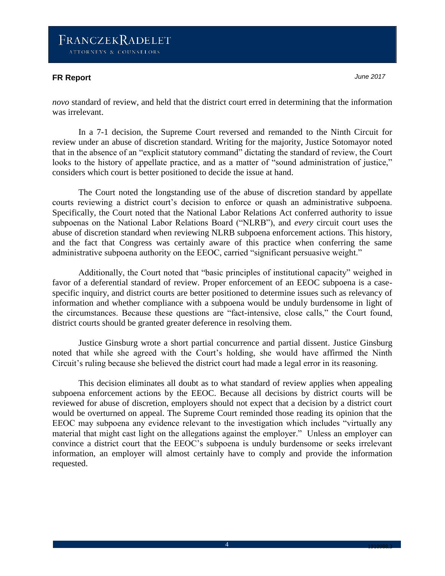## **FR Report** *June 2017*

*novo* standard of review, and held that the district court erred in determining that the information was irrelevant.

In a 7-1 decision, the Supreme Court reversed and remanded to the Ninth Circuit for review under an abuse of discretion standard. Writing for the majority, Justice Sotomayor noted that in the absence of an "explicit statutory command" dictating the standard of review, the Court looks to the history of appellate practice, and as a matter of "sound administration of justice," considers which court is better positioned to decide the issue at hand.

The Court noted the longstanding use of the abuse of discretion standard by appellate courts reviewing a district court's decision to enforce or quash an administrative subpoena. Specifically, the Court noted that the National Labor Relations Act conferred authority to issue subpoenas on the National Labor Relations Board ("NLRB"), and *every* circuit court uses the abuse of discretion standard when reviewing NLRB subpoena enforcement actions. This history, and the fact that Congress was certainly aware of this practice when conferring the same administrative subpoena authority on the EEOC, carried "significant persuasive weight."

Additionally, the Court noted that "basic principles of institutional capacity" weighed in favor of a deferential standard of review. Proper enforcement of an EEOC subpoena is a casespecific inquiry, and district courts are better positioned to determine issues such as relevancy of information and whether compliance with a subpoena would be unduly burdensome in light of the circumstances. Because these questions are "fact-intensive, close calls," the Court found, district courts should be granted greater deference in resolving them.

Justice Ginsburg wrote a short partial concurrence and partial dissent. Justice Ginsburg noted that while she agreed with the Court's holding, she would have affirmed the Ninth Circuit's ruling because she believed the district court had made a legal error in its reasoning.

This decision eliminates all doubt as to what standard of review applies when appealing subpoena enforcement actions by the EEOC. Because all decisions by district courts will be reviewed for abuse of discretion, employers should not expect that a decision by a district court would be overturned on appeal. The Supreme Court reminded those reading its opinion that the EEOC may subpoena any evidence relevant to the investigation which includes "virtually any material that might cast light on the allegations against the employer." Unless an employer can convince a district court that the EEOC's subpoena is unduly burdensome or seeks irrelevant information, an employer will almost certainly have to comply and provide the information requested.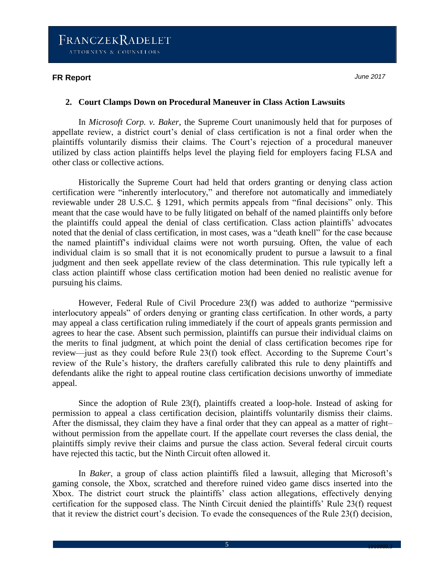### **FR Report** *June 2017*

### **2. Court Clamps Down on Procedural Maneuver in Class Action Lawsuits**

In *Microsoft Corp. v. Baker*, the Supreme Court unanimously held that for purposes of appellate review, a district court's denial of class certification is not a final order when the plaintiffs voluntarily dismiss their claims. The Court's rejection of a procedural maneuver utilized by class action plaintiffs helps level the playing field for employers facing FLSA and other class or collective actions.

Historically the Supreme Court had held that orders granting or denying class action certification were "inherently interlocutory," and therefore not automatically and immediately reviewable under 28 U.S.C. § 1291, which permits appeals from "final decisions" only. This meant that the case would have to be fully litigated on behalf of the named plaintiffs only before the plaintiffs could appeal the denial of class certification. Class action plaintiffs' advocates noted that the denial of class certification, in most cases, was a "death knell" for the case because the named plaintiff's individual claims were not worth pursuing. Often, the value of each individual claim is so small that it is not economically prudent to pursue a lawsuit to a final judgment and then seek appellate review of the class determination. This rule typically left a class action plaintiff whose class certification motion had been denied no realistic avenue for pursuing his claims.

However, Federal Rule of Civil Procedure 23(f) was added to authorize "permissive interlocutory appeals" of orders denying or granting class certification. In other words, a party may appeal a class certification ruling immediately if the court of appeals grants permission and agrees to hear the case. Absent such permission, plaintiffs can pursue their individual claims on the merits to final judgment, at which point the denial of class certification becomes ripe for review—just as they could before Rule 23(f) took effect. According to the Supreme Court's review of the Rule's history, the drafters carefully calibrated this rule to deny plaintiffs and defendants alike the right to appeal routine class certification decisions unworthy of immediate appeal.

Since the adoption of Rule 23(f), plaintiffs created a loop-hole. Instead of asking for permission to appeal a class certification decision, plaintiffs voluntarily dismiss their claims. After the dismissal, they claim they have a final order that they can appeal as a matter of right– without permission from the appellate court. If the appellate court reverses the class denial, the plaintiffs simply revive their claims and pursue the class action. Several federal circuit courts have rejected this tactic, but the Ninth Circuit often allowed it.

In *Baker*, a group of class action plaintiffs filed a lawsuit, alleging that Microsoft's gaming console, the Xbox, scratched and therefore ruined video game discs inserted into the Xbox. The district court struck the plaintiffs' class action allegations, effectively denying certification for the supposed class. The Ninth Circuit denied the plaintiffs' Rule 23(f) request that it review the district court's decision. To evade the consequences of the Rule 23(f) decision,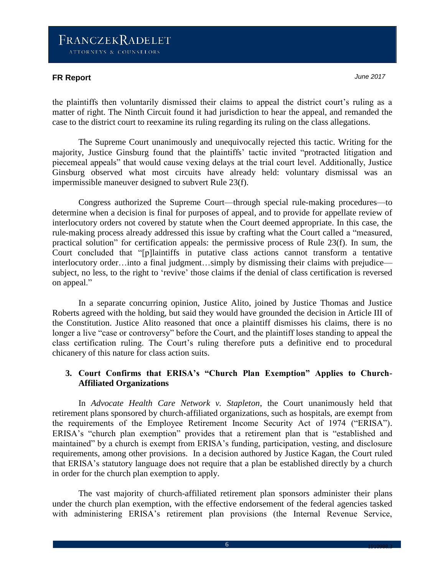## **FR Report** *June 2017*

the plaintiffs then voluntarily dismissed their claims to appeal the district court's ruling as a matter of right. The Ninth Circuit found it had jurisdiction to hear the appeal, and remanded the case to the district court to reexamine its ruling regarding its ruling on the class allegations.

The Supreme Court unanimously and unequivocally rejected this tactic. Writing for the majority, Justice Ginsburg found that the plaintiffs' tactic invited "protracted litigation and piecemeal appeals" that would cause vexing delays at the trial court level. Additionally, Justice Ginsburg observed what most circuits have already held: voluntary dismissal was an impermissible maneuver designed to subvert Rule 23(f).

Congress authorized the Supreme Court—through special rule-making procedures—to determine when a decision is final for purposes of appeal, and to provide for appellate review of interlocutory orders not covered by statute when the Court deemed appropriate. In this case, the rule-making process already addressed this issue by crafting what the Court called a "measured, practical solution" for certification appeals: the permissive process of Rule 23(f). In sum, the Court concluded that "[p]laintiffs in putative class actions cannot transform a tentative interlocutory order…into a final judgment…simply by dismissing their claims with prejudice subject, no less, to the right to 'revive' those claims if the denial of class certification is reversed on appeal."

In a separate concurring opinion, Justice Alito, joined by Justice Thomas and Justice Roberts agreed with the holding, but said they would have grounded the decision in Article III of the Constitution. Justice Alito reasoned that once a plaintiff dismisses his claims, there is no longer a live "case or controversy" before the Court, and the plaintiff loses standing to appeal the class certification ruling. The Court's ruling therefore puts a definitive end to procedural chicanery of this nature for class action suits.

## **3. Court Confirms that ERISA's "Church Plan Exemption" Applies to Church-Affiliated Organizations**

In *Advocate Health Care Network v. Stapleton*, the Court unanimously held that retirement plans sponsored by church-affiliated organizations, such as hospitals, are exempt from the requirements of the Employee Retirement Income Security Act of 1974 ("ERISA"). ERISA's "church plan exemption" provides that a retirement plan that is "established and maintained" by a church is exempt from ERISA's funding, participation, vesting, and disclosure requirements, among other provisions. In a decision authored by Justice Kagan, the Court ruled that ERISA's statutory language does not require that a plan be established directly by a church in order for the church plan exemption to apply.

The vast majority of church-affiliated retirement plan sponsors administer their plans under the church plan exemption, with the effective endorsement of the federal agencies tasked with administering ERISA's retirement plan provisions (the Internal Revenue Service,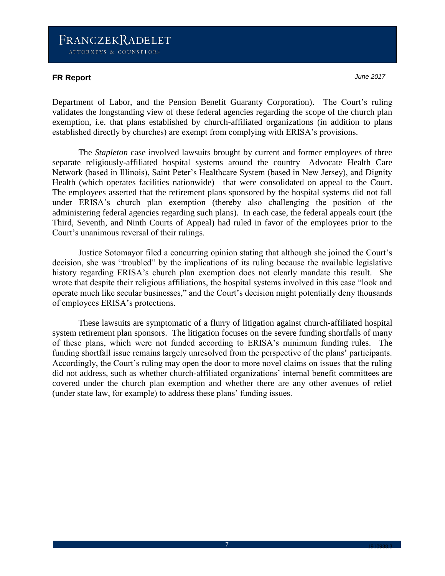## **FR Report** *June 2017*

Department of Labor, and the Pension Benefit Guaranty Corporation). The Court's ruling validates the longstanding view of these federal agencies regarding the scope of the church plan exemption, i.e. that plans established by church-affiliated organizations (in addition to plans established directly by churches) are exempt from complying with ERISA's provisions.

The *Stapleton* case involved lawsuits brought by current and former employees of three separate religiously-affiliated hospital systems around the country—Advocate Health Care Network (based in Illinois), Saint Peter's Healthcare System (based in New Jersey), and Dignity Health (which operates facilities nationwide)—that were consolidated on appeal to the Court. The employees asserted that the retirement plans sponsored by the hospital systems did not fall under ERISA's church plan exemption (thereby also challenging the position of the administering federal agencies regarding such plans). In each case, the federal appeals court (the Third, Seventh, and Ninth Courts of Appeal) had ruled in favor of the employees prior to the Court's unanimous reversal of their rulings.

Justice Sotomayor filed a concurring opinion stating that although she joined the Court's decision, she was "troubled" by the implications of its ruling because the available legislative history regarding ERISA's church plan exemption does not clearly mandate this result. She wrote that despite their religious affiliations, the hospital systems involved in this case "look and operate much like secular businesses," and the Court's decision might potentially deny thousands of employees ERISA's protections.

These lawsuits are symptomatic of a flurry of litigation against church-affiliated hospital system retirement plan sponsors. The litigation focuses on the severe funding shortfalls of many of these plans, which were not funded according to ERISA's minimum funding rules. The funding shortfall issue remains largely unresolved from the perspective of the plans' participants. Accordingly, the Court's ruling may open the door to more novel claims on issues that the ruling did not address, such as whether church-affiliated organizations' internal benefit committees are covered under the church plan exemption and whether there are any other avenues of relief (under state law, for example) to address these plans' funding issues.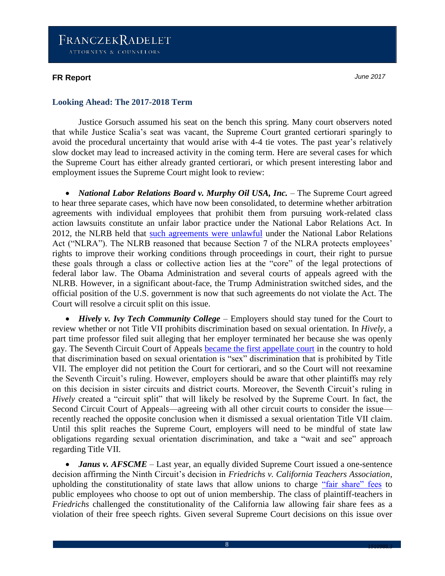### **FR Report** *June 2017*

### **Looking Ahead: The 2017-2018 Term**

Justice Gorsuch assumed his seat on the bench this spring. Many court observers noted that while Justice Scalia's seat was vacant, the Supreme Court granted certiorari sparingly to avoid the procedural uncertainty that would arise with 4-4 tie votes. The past year's relatively slow docket may lead to increased activity in the coming term. Here are several cases for which the Supreme Court has either already granted certiorari, or which present interesting labor and employment issues the Supreme Court might look to review:

• *National Labor Relations Board v. Murphy Oil USA, Inc.* – The Supreme Court agreed to hear three separate cases, which have now been consolidated, to determine whether arbitration agreements with individual employees that prohibit them from pursuing work-related class action lawsuits constitute an unfair labor practice under the National Labor Relations Act. In 2012, the NLRB held that [such agreements were unlawful](http://www.franczek.com/frontcenter-NLRB_Class_Action_Waivers_Mandatory_Arbitration_Agreements.html) under the National Labor Relations Act ("NLRA"). The NLRB reasoned that because Section 7 of the NLRA protects employees' rights to improve their working conditions through proceedings in court, their right to pursue these goals through a class or collective action lies at the "core" of the legal protections of federal labor law. The Obama Administration and several courts of appeals agreed with the NLRB. However, in a significant about-face, the Trump Administration switched sides, and the official position of the U.S. government is now that such agreements do not violate the Act. The Court will resolve a circuit split on this issue.

• *Hively v. Ivy Tech Community College* – Employers should stay tuned for the Court to review whether or not Title VII prohibits discrimination based on sexual orientation. In *Hively*, a part time professor filed suit alleging that her employer terminated her because she was openly gay. The Seventh Circuit Court of Appeals [became the first appellate court](http://www.franczek.com/frontcenter-Supreme_Court_Sexual_Orientation.html) in the country to hold that discrimination based on sexual orientation is "sex" discrimination that is prohibited by Title VII. The employer did not petition the Court for certiorari, and so the Court will not reexamine the Seventh Circuit's ruling. However, employers should be aware that other plaintiffs may rely on this decision in sister circuits and district courts. Moreover, the Seventh Circuit's ruling in *Hively* created a "circuit split" that will likely be resolved by the Supreme Court. In fact, the Second Circuit Court of Appeals—agreeing with all other circuit courts to consider the issue recently reached the opposite conclusion when it dismissed a sexual orientation Title VII claim. Until this split reaches the Supreme Court, employers will need to be mindful of state law obligations regarding sexual orientation discrimination, and take a "wait and see" approach regarding Title VII.

• *Janus v. AFSCME* – Last year, an equally divided Supreme Court issued a one-sentence decision affirming the Ninth Circuit's decision in *Friedrichs v. California Teachers Association*, upholding the constitutionality of state laws that allow unions to charge ["fair share" fees](http://www.franczek.com/frontcenter-SCOTUS_Upholds_Public_Sector_Union_Fair_Share_Fees.html) to public employees who choose to opt out of union membership. The class of plaintiff-teachers in *Friedrichs* challenged the constitutionality of the California law allowing fair share fees as a violation of their free speech rights. Given several Supreme Court decisions on this issue over